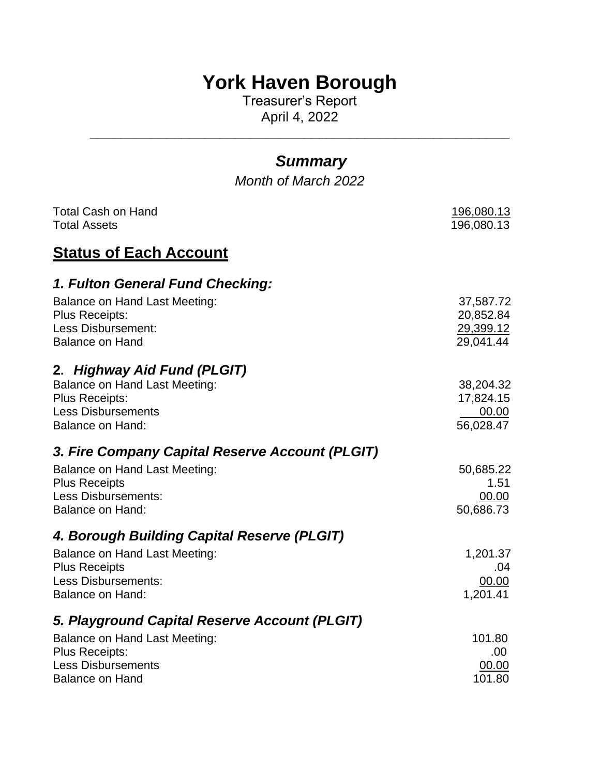# **York Haven Borough**

Treasurer's Report April 4, 2022

| <b>Summary</b><br>Month of March 2022                                                                                                         |                                                  |
|-----------------------------------------------------------------------------------------------------------------------------------------------|--------------------------------------------------|
|                                                                                                                                               |                                                  |
| <b>Total Cash on Hand</b><br><b>Total Assets</b>                                                                                              | <u>196,080.13</u><br>196,080.13                  |
| <u>Status of Each Account</u>                                                                                                                 |                                                  |
| 1. Fulton General Fund Checking:                                                                                                              |                                                  |
| Balance on Hand Last Meeting:<br>Plus Receipts:<br><b>Less Disbursement:</b><br><b>Balance on Hand</b>                                        | 37,587.72<br>20,852.84<br>29,399.12<br>29,041.44 |
| 2. Highway Aid Fund (PLGIT)<br><b>Balance on Hand Last Meeting:</b><br><b>Plus Receipts:</b><br><b>Less Disbursements</b><br>Balance on Hand: | 38,204.32<br>17,824.15<br>00.00<br>56,028.47     |
| 3. Fire Company Capital Reserve Account (PLGIT)                                                                                               |                                                  |
| Balance on Hand Last Meeting:<br><b>Plus Receipts</b><br><b>Less Disbursements:</b><br>Balance on Hand:                                       | 50,685.22<br>1.51<br>00.00<br>50,686.73          |
| 4. Borough Building Capital Reserve (PLGIT)                                                                                                   |                                                  |
| <b>Balance on Hand Last Meeting:</b><br><b>Plus Receipts</b><br><b>Less Disbursements:</b><br>Balance on Hand:                                | 1,201.37<br>.04<br>00.00<br>1,201.41             |
| 5. Playground Capital Reserve Account (PLGIT)                                                                                                 |                                                  |
| <b>Balance on Hand Last Meeting:</b><br><b>Plus Receipts:</b><br><b>Less Disbursements</b><br><b>Balance on Hand</b>                          | 101.80<br>.00<br>00.00<br>101.80                 |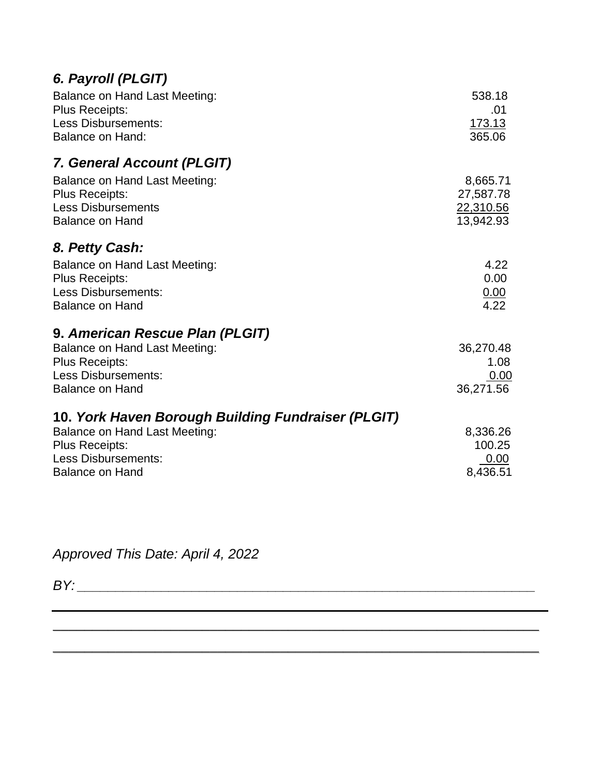| Balance on Hand Last Meeting:<br><b>Plus Receipts:</b><br><b>Less Disbursements:</b><br><b>Balance on Hand:</b>                                                             | 538.18<br>.01<br><u>173.13</u><br>365.06        |
|-----------------------------------------------------------------------------------------------------------------------------------------------------------------------------|-------------------------------------------------|
| 7. General Account (PLGIT)                                                                                                                                                  |                                                 |
| Balance on Hand Last Meeting:<br><b>Plus Receipts:</b><br><b>Less Disbursements</b><br><b>Balance on Hand</b>                                                               | 8,665.71<br>27,587.78<br>22,310.56<br>13,942.93 |
| 8. Petty Cash:                                                                                                                                                              |                                                 |
| <b>Balance on Hand Last Meeting:</b><br>Plus Receipts:<br>Less Disbursements:<br><b>Balance on Hand</b>                                                                     | 4.22<br>0.00<br>$\frac{0.00}{4.22}$             |
| 9. American Rescue Plan (PLGIT)<br><b>Balance on Hand Last Meeting:</b><br><b>Plus Receipts:</b><br><b>Less Disbursements:</b><br><b>Balance on Hand</b>                    | 36,270.48<br>1.08<br>0.00<br>36,271.56          |
| 10. York Haven Borough Building Fundraiser (PLGIT)<br><b>Balance on Hand Last Meeting:</b><br><b>Plus Receipts:</b><br><b>Less Disbursements:</b><br><b>Balance on Hand</b> | 8,336.26<br>100.25<br>0.00<br>8,436.51          |

\_\_\_\_\_\_\_\_\_\_\_\_\_\_\_\_\_\_\_\_\_\_\_\_\_\_\_\_\_\_\_\_\_\_\_\_\_\_\_\_\_\_\_\_\_\_\_\_\_\_\_\_\_\_\_\_\_\_\_\_\_\_

\_\_\_\_\_\_\_\_\_\_\_\_\_\_\_\_\_\_\_\_\_\_\_\_\_\_\_\_\_\_\_\_\_\_\_\_\_\_\_\_\_\_\_\_\_\_\_\_\_\_\_\_\_\_\_\_\_\_\_\_\_\_

*Approved This Date: April 4, 2022*

*BY: \_\_\_\_\_\_\_\_\_\_\_\_\_\_\_\_\_\_\_\_\_\_\_\_\_\_\_\_\_\_\_\_\_\_\_\_\_\_\_\_\_\_\_\_\_\_\_\_\_\_\_\_\_\_\_\_\_\_\_\_*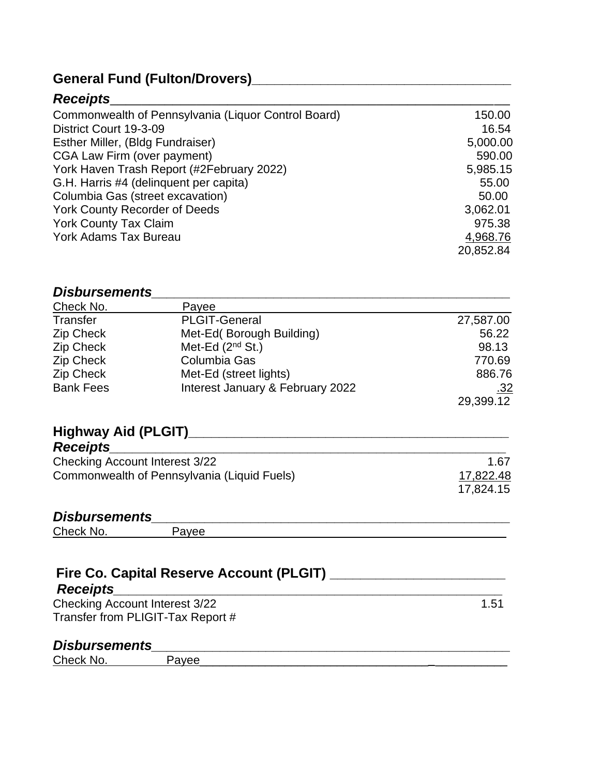# **General Fund (Fulton/Drovers)\_\_\_\_\_\_\_\_\_\_\_\_\_\_\_\_\_\_\_\_\_\_\_\_\_\_\_\_\_\_\_\_\_\_**

### *Receipts*\_\_\_\_\_\_\_\_\_\_\_\_\_\_\_\_\_\_\_\_\_\_\_\_\_\_\_\_\_\_\_\_\_\_\_\_\_\_\_\_\_\_\_\_\_\_\_\_\_\_\_

| Commonwealth of Pennsylvania (Liquor Control Board) | 150.00    |
|-----------------------------------------------------|-----------|
| District Court 19-3-09                              | 16.54     |
| Esther Miller, (Bldg Fundraiser)                    | 5,000.00  |
| CGA Law Firm (over payment)                         | 590.00    |
| York Haven Trash Report (#2February 2022)           | 5,985.15  |
| G.H. Harris #4 (delinquent per capita)              | 55.00     |
| Columbia Gas (street excavation)                    | 50.00     |
| <b>York County Recorder of Deeds</b>                | 3,062.01  |
| <b>York County Tax Claim</b>                        | 975.38    |
| <b>York Adams Tax Bureau</b>                        | 4,968.76  |
|                                                     | 20,852.84 |

#### *Disbursements\_\_\_\_\_\_\_\_\_\_\_\_\_\_\_\_\_\_\_\_\_\_\_\_\_\_\_\_\_\_\_\_\_\_\_\_\_\_\_\_\_\_\_\_\_\_\_*

| Check No.        | Payee                            |           |
|------------------|----------------------------------|-----------|
| Transfer         | <b>PLGIT-General</b>             | 27,587.00 |
| Zip Check        | Met-Ed(Borough Building)         | 56.22     |
| Zip Check        | Met-Ed $(2^{nd}$ St.)            | 98.13     |
| Zip Check        | Columbia Gas                     | 770.69    |
| Zip Check        | Met-Ed (street lights)           | 886.76    |
| <b>Bank Fees</b> | Interest January & February 2022 | .32       |
|                  |                                  | 29,399.12 |

# **Highway Aid (PLGIT)\_\_\_\_\_\_\_\_\_\_\_\_\_\_\_\_\_\_\_\_\_\_\_\_\_\_\_\_\_\_\_\_\_\_\_\_\_\_\_\_\_\_**

| <b>Receipts</b>                             |           |
|---------------------------------------------|-----------|
| Checking Account Interest 3/22              | 1 67      |
| Commonwealth of Pennsylvania (Liquid Fuels) | 17,822.48 |
|                                             | 17,824.15 |

# *Disbursements\_\_\_\_\_\_\_\_\_\_\_\_\_\_\_\_\_\_\_\_\_\_\_\_\_\_\_\_\_\_\_\_\_\_\_\_\_\_\_\_\_\_\_\_\_\_\_*

Check No. Payee\_\_\_\_\_\_\_\_\_\_\_\_\_\_\_\_\_\_\_\_\_\_\_\_\_\_\_\_\_\_\_\_\_\_\_\_\_\_\_\_\_\_\_\_\_\_

| 1.51 |
|------|
|      |
|      |
|      |

| Check<br>™υ. |  |  |  |
|--------------|--|--|--|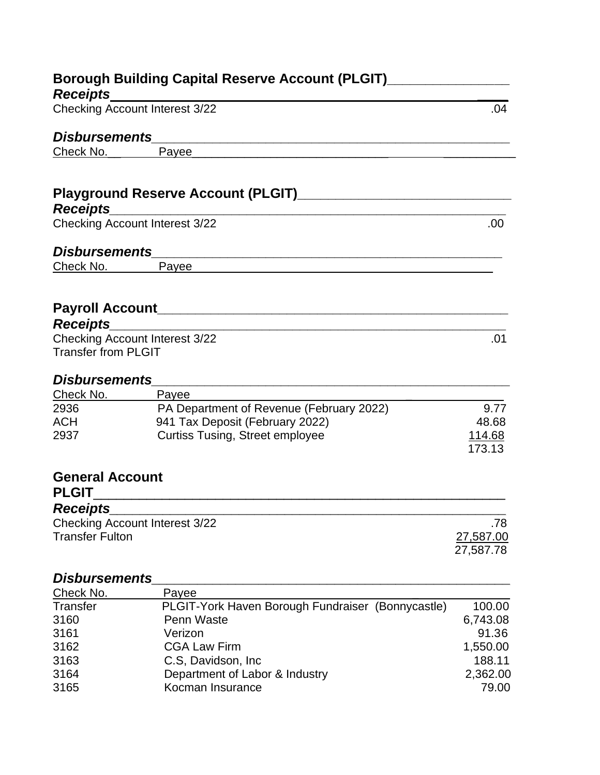|                                                          | Borough Building Capital Reserve Account (PLGIT)________________________________                                     |           |
|----------------------------------------------------------|----------------------------------------------------------------------------------------------------------------------|-----------|
| <b>Receipts</b>                                          |                                                                                                                      |           |
| <b>Checking Account Interest 3/22</b>                    |                                                                                                                      | .04       |
| <b>Disbursements</b>                                     | <u> 1989 - Jan Sterling, margin and de la populación de la populación de la populación de la populación de la po</u> |           |
| Check No.                                                | Payee                                                                                                                |           |
|                                                          |                                                                                                                      |           |
|                                                          |                                                                                                                      |           |
| <b>Receipts</b>                                          |                                                                                                                      |           |
| <b>Checking Account Interest 3/22</b>                    |                                                                                                                      | .00       |
|                                                          |                                                                                                                      |           |
| <b>Disbursements</b>                                     |                                                                                                                      |           |
| Check No.                                                | Payee                                                                                                                |           |
|                                                          |                                                                                                                      |           |
|                                                          |                                                                                                                      |           |
| Receipts_______________                                  |                                                                                                                      |           |
| <b>Checking Account Interest 3/22</b>                    |                                                                                                                      | .01       |
| <b>Transfer from PLGIT</b>                               |                                                                                                                      |           |
|                                                          |                                                                                                                      |           |
| <b>Disbursements</b>                                     |                                                                                                                      |           |
| Check No.                                                | Payee                                                                                                                |           |
| 2936                                                     | PA Department of Revenue (February 2022)                                                                             | 9.77      |
| <b>ACH</b>                                               | 941 Tax Deposit (February 2022)                                                                                      | 48.68     |
| 2937                                                     | <b>Curtiss Tusing, Street employee</b>                                                                               | 114.68    |
|                                                          |                                                                                                                      | 173.13    |
|                                                          |                                                                                                                      |           |
| <b>General Account</b>                                   |                                                                                                                      |           |
| <b>PLGIT</b>                                             |                                                                                                                      |           |
| <b>Receipts</b><br><b>Checking Account Interest 3/22</b> |                                                                                                                      | .78       |
| <b>Transfer Fulton</b>                                   |                                                                                                                      | 27,587.00 |
|                                                          |                                                                                                                      | 27,587.78 |
|                                                          |                                                                                                                      |           |
| <b>Disbursements</b>                                     |                                                                                                                      |           |
| Check No.                                                | Payee                                                                                                                |           |
| <b>Transfer</b>                                          | PLGIT-York Haven Borough Fundraiser (Bonnycastle)                                                                    | 100.00    |
| 3160                                                     | Penn Waste                                                                                                           | 6,743.08  |
| 3161                                                     | Verizon                                                                                                              | 91.36     |
| 3162                                                     | <b>CGA Law Firm</b>                                                                                                  | 1,550.00  |
| 3163                                                     | C.S, Davidson, Inc.                                                                                                  | 188.11    |

3163 C.S, Davidson, Inc<br>3164 Department of Labor & Industry 2,362.00 3164 Department of Labor & Industry 2,362.00 3165 Kocman Insurance 79.00